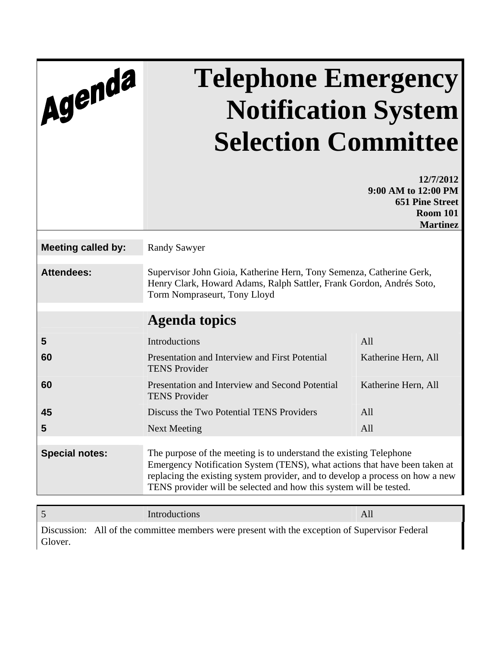| Agenda                    | <b>Telephone Emergency</b><br><b>Notification System</b><br><b>Selection Committee</b>                                                                                                                                                                                                                  |                                                                                                  |  |  |
|---------------------------|---------------------------------------------------------------------------------------------------------------------------------------------------------------------------------------------------------------------------------------------------------------------------------------------------------|--------------------------------------------------------------------------------------------------|--|--|
|                           |                                                                                                                                                                                                                                                                                                         | 12/7/2012<br>9:00 AM to 12:00 PM<br><b>651 Pine Street</b><br><b>Room 101</b><br><b>Martinez</b> |  |  |
| <b>Meeting called by:</b> | <b>Randy Sawyer</b>                                                                                                                                                                                                                                                                                     |                                                                                                  |  |  |
| <b>Attendees:</b>         | Supervisor John Gioia, Katherine Hern, Tony Semenza, Catherine Gerk,<br>Henry Clark, Howard Adams, Ralph Sattler, Frank Gordon, Andrés Soto,<br>Torm Nompraseurt, Tony Lloyd                                                                                                                            |                                                                                                  |  |  |
|                           | <b>Agenda topics</b>                                                                                                                                                                                                                                                                                    |                                                                                                  |  |  |
| 5                         | Introductions                                                                                                                                                                                                                                                                                           | All                                                                                              |  |  |
| 60                        | Presentation and Interview and First Potential<br><b>TENS Provider</b>                                                                                                                                                                                                                                  | Katherine Hern, All                                                                              |  |  |
| 60                        | Presentation and Interview and Second Potential<br><b>TENS Provider</b>                                                                                                                                                                                                                                 | Katherine Hern, All                                                                              |  |  |
| 45                        | Discuss the Two Potential TENS Providers                                                                                                                                                                                                                                                                | All                                                                                              |  |  |
| 5                         | <b>Next Meeting</b>                                                                                                                                                                                                                                                                                     | All                                                                                              |  |  |
| <b>Special notes:</b>     | The purpose of the meeting is to understand the existing Telephone<br>Emergency Notification System (TENS), what actions that have been taken at<br>replacing the existing system provider, and to develop a process on how a new<br>TENS provider will be selected and how this system will be tested. |                                                                                                  |  |  |

5 Introductions All Discussion: All of the committee members were present with the exception of Supervisor Federal Glover.